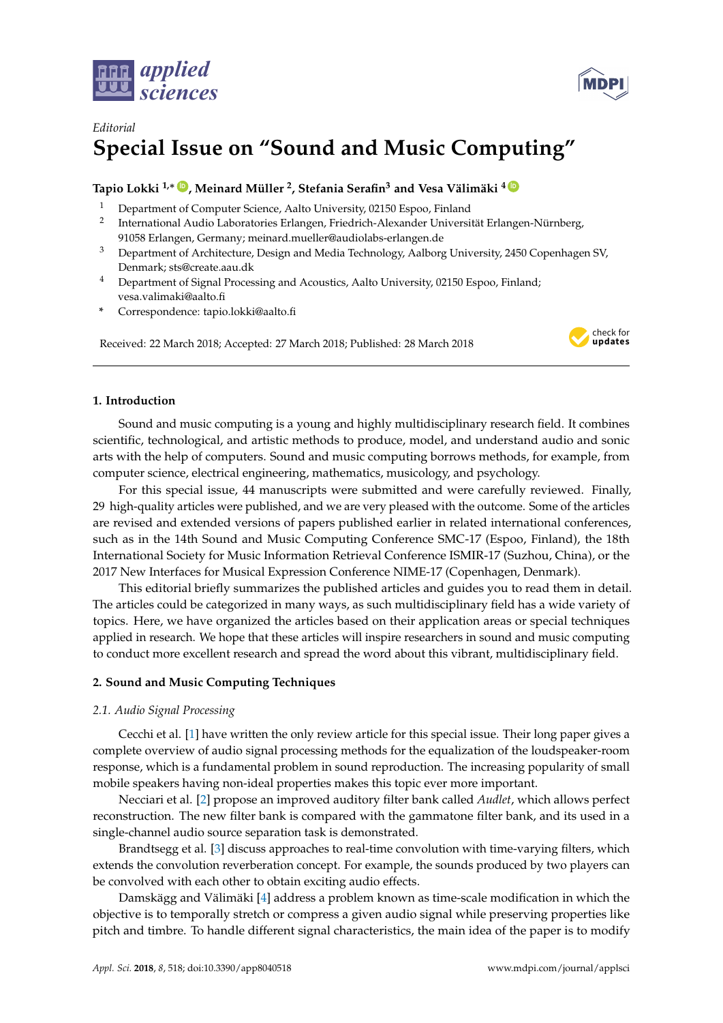



# *Editorial* **Special Issue on "Sound and Music Computing"**

# **Tapio Lokki 1,**<sup>∗</sup> **[ID](https://orcid.org/0000-0001-7700-1448) , Meinard Müller <sup>2</sup> , Stefania Serafin<sup>3</sup> and Vesa Välimäki <sup>4</sup> [ID](https://orcid.org/0000-0002-7869-292X)**

- <sup>1</sup> Department of Computer Science, Aalto University, 02150 Espoo, Finland
- 2 International Audio Laboratories Erlangen, Friedrich-Alexander Universität Erlangen-Nürnberg, 91058 Erlangen, Germany; meinard.mueller@audiolabs-erlangen.de
- <sup>3</sup> Department of Architecture, Design and Media Technology, Aalborg University, 2450 Copenhagen SV, Denmark; sts@create.aau.dk
- <sup>4</sup> Department of Signal Processing and Acoustics, Aalto University, 02150 Espoo, Finland; vesa.valimaki@aalto.fi
- **\*** Correspondence: tapio.lokki@aalto.fi

Received: 22 March 2018; Accepted: 27 March 2018; Published: 28 March 2018



# **1. Introduction**

Sound and music computing is a young and highly multidisciplinary research field. It combines scientific, technological, and artistic methods to produce, model, and understand audio and sonic arts with the help of computers. Sound and music computing borrows methods, for example, from computer science, electrical engineering, mathematics, musicology, and psychology.

For this special issue, 44 manuscripts were submitted and were carefully reviewed. Finally, 29 high-quality articles were published, and we are very pleased with the outcome. Some of the articles are revised and extended versions of papers published earlier in related international conferences, such as in the 14th Sound and Music Computing Conference SMC-17 (Espoo, Finland), the 18th International Society for Music Information Retrieval Conference ISMIR-17 (Suzhou, China), or the 2017 New Interfaces for Musical Expression Conference NIME-17 (Copenhagen, Denmark).

This editorial briefly summarizes the published articles and guides you to read them in detail. The articles could be categorized in many ways, as such multidisciplinary field has a wide variety of topics. Here, we have organized the articles based on their application areas or special techniques applied in research. We hope that these articles will inspire researchers in sound and music computing to conduct more excellent research and spread the word about this vibrant, multidisciplinary field.

# **2. Sound and Music Computing Techniques**

## *2.1. Audio Signal Processing*

Cecchi et al. [\[1\]](#page-3-0) have written the only review article for this special issue. Their long paper gives a complete overview of audio signal processing methods for the equalization of the loudspeaker-room response, which is a fundamental problem in sound reproduction. The increasing popularity of small mobile speakers having non-ideal properties makes this topic ever more important.

Necciari et al. [\[2\]](#page-3-1) propose an improved auditory filter bank called *Audlet*, which allows perfect reconstruction. The new filter bank is compared with the gammatone filter bank, and its used in a single-channel audio source separation task is demonstrated.

Brandtsegg et al. [\[3\]](#page-3-2) discuss approaches to real-time convolution with time-varying filters, which extends the convolution reverberation concept. For example, the sounds produced by two players can be convolved with each other to obtain exciting audio effects.

Damskägg and Välimäki [\[4\]](#page-3-3) address a problem known as time-scale modification in which the objective is to temporally stretch or compress a given audio signal while preserving properties like pitch and timbre. To handle different signal characteristics, the main idea of the paper is to modify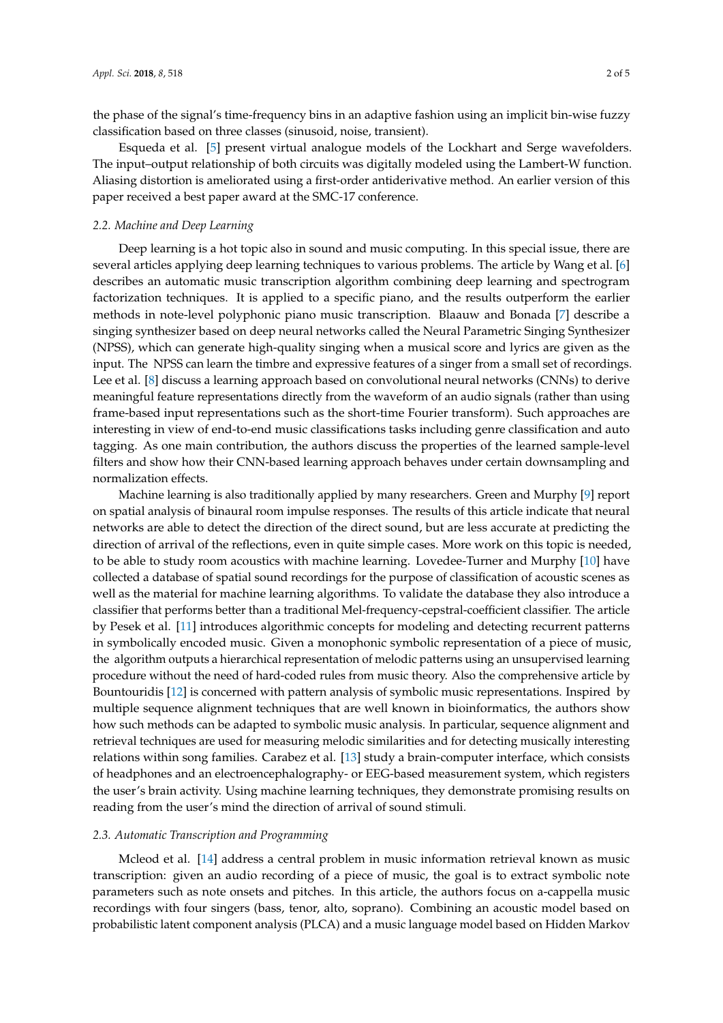the phase of the signal's time-frequency bins in an adaptive fashion using an implicit bin-wise fuzzy classification based on three classes (sinusoid, noise, transient).

Esqueda et al. [\[5\]](#page-3-4) present virtual analogue models of the Lockhart and Serge wavefolders. The input–output relationship of both circuits was digitally modeled using the Lambert-W function. Aliasing distortion is ameliorated using a first-order antiderivative method. An earlier version of this paper received a best paper award at the SMC-17 conference.

#### *2.2. Machine and Deep Learning*

Deep learning is a hot topic also in sound and music computing. In this special issue, there are several articles applying deep learning techniques to various problems. The article by Wang et al. [\[6\]](#page-3-5) describes an automatic music transcription algorithm combining deep learning and spectrogram factorization techniques. It is applied to a specific piano, and the results outperform the earlier methods in note-level polyphonic piano music transcription. Blaauw and Bonada [\[7\]](#page-3-6) describe a singing synthesizer based on deep neural networks called the Neural Parametric Singing Synthesizer (NPSS), which can generate high-quality singing when a musical score and lyrics are given as the input. The NPSS can learn the timbre and expressive features of a singer from a small set of recordings. Lee et al. [\[8\]](#page-3-7) discuss a learning approach based on convolutional neural networks (CNNs) to derive meaningful feature representations directly from the waveform of an audio signals (rather than using frame-based input representations such as the short-time Fourier transform). Such approaches are interesting in view of end-to-end music classifications tasks including genre classification and auto tagging. As one main contribution, the authors discuss the properties of the learned sample-level filters and show how their CNN-based learning approach behaves under certain downsampling and normalization effects.

Machine learning is also traditionally applied by many researchers. Green and Murphy [\[9\]](#page-3-8) report on spatial analysis of binaural room impulse responses. The results of this article indicate that neural networks are able to detect the direction of the direct sound, but are less accurate at predicting the direction of arrival of the reflections, even in quite simple cases. More work on this topic is needed, to be able to study room acoustics with machine learning. Lovedee-Turner and Murphy [\[10\]](#page-3-9) have collected a database of spatial sound recordings for the purpose of classification of acoustic scenes as well as the material for machine learning algorithms. To validate the database they also introduce a classifier that performs better than a traditional Mel-frequency-cepstral-coefficient classifier. The article by Pesek et al. [\[11\]](#page-3-10) introduces algorithmic concepts for modeling and detecting recurrent patterns in symbolically encoded music. Given a monophonic symbolic representation of a piece of music, the algorithm outputs a hierarchical representation of melodic patterns using an unsupervised learning procedure without the need of hard-coded rules from music theory. Also the comprehensive article by Bountouridis [\[12\]](#page-3-11) is concerned with pattern analysis of symbolic music representations. Inspired by multiple sequence alignment techniques that are well known in bioinformatics, the authors show how such methods can be adapted to symbolic music analysis. In particular, sequence alignment and retrieval techniques are used for measuring melodic similarities and for detecting musically interesting relations within song families. Carabez et al. [\[13\]](#page-3-12) study a brain-computer interface, which consists of headphones and an electroencephalography- or EEG-based measurement system, which registers the user's brain activity. Using machine learning techniques, they demonstrate promising results on reading from the user's mind the direction of arrival of sound stimuli.

## *2.3. Automatic Transcription and Programming*

Mcleod et al. [\[14\]](#page-4-0) address a central problem in music information retrieval known as music transcription: given an audio recording of a piece of music, the goal is to extract symbolic note parameters such as note onsets and pitches. In this article, the authors focus on a-cappella music recordings with four singers (bass, tenor, alto, soprano). Combining an acoustic model based on probabilistic latent component analysis (PLCA) and a music language model based on Hidden Markov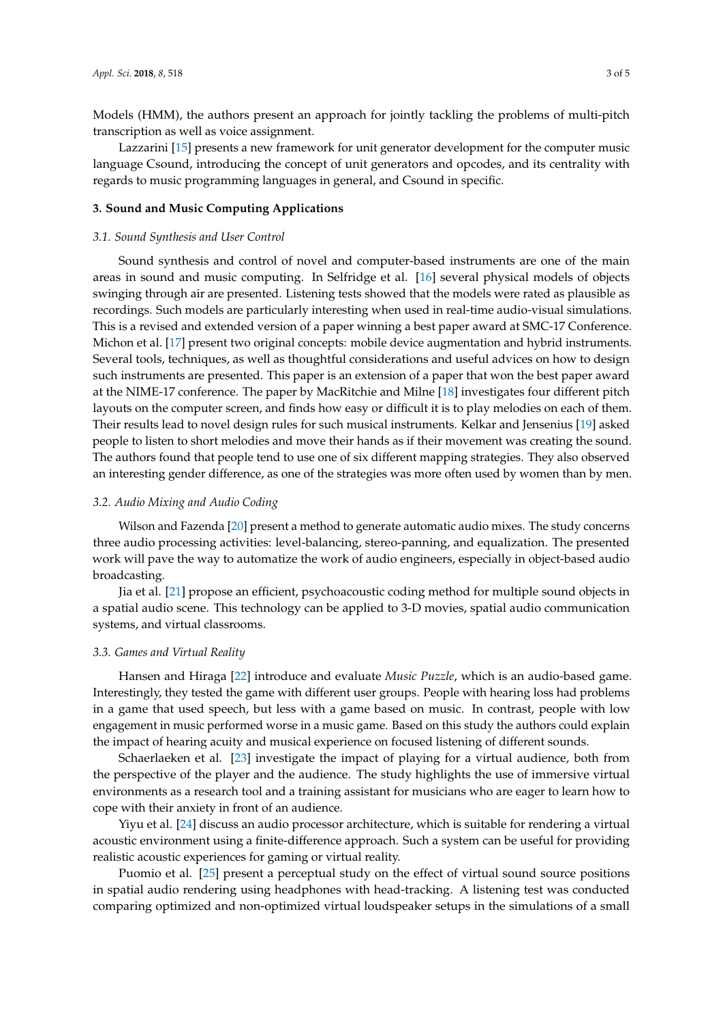Models (HMM), the authors present an approach for jointly tackling the problems of multi-pitch transcription as well as voice assignment.

Lazzarini [\[15\]](#page-4-1) presents a new framework for unit generator development for the computer music language Csound, introducing the concept of unit generators and opcodes, and its centrality with regards to music programming languages in general, and Csound in specific.

## **3. Sound and Music Computing Applications**

#### *3.1. Sound Synthesis and User Control*

Sound synthesis and control of novel and computer-based instruments are one of the main areas in sound and music computing. In Selfridge et al. [\[16\]](#page-4-2) several physical models of objects swinging through air are presented. Listening tests showed that the models were rated as plausible as recordings. Such models are particularly interesting when used in real-time audio-visual simulations. This is a revised and extended version of a paper winning a best paper award at SMC-17 Conference. Michon et al. [\[17\]](#page-4-3) present two original concepts: mobile device augmentation and hybrid instruments. Several tools, techniques, as well as thoughtful considerations and useful advices on how to design such instruments are presented. This paper is an extension of a paper that won the best paper award at the NIME-17 conference. The paper by MacRitchie and Milne [\[18\]](#page-4-4) investigates four different pitch layouts on the computer screen, and finds how easy or difficult it is to play melodies on each of them. Their results lead to novel design rules for such musical instruments. Kelkar and Jensenius [\[19\]](#page-4-5) asked people to listen to short melodies and move their hands as if their movement was creating the sound. The authors found that people tend to use one of six different mapping strategies. They also observed an interesting gender difference, as one of the strategies was more often used by women than by men.

#### *3.2. Audio Mixing and Audio Coding*

Wilson and Fazenda [\[20\]](#page-4-6) present a method to generate automatic audio mixes. The study concerns three audio processing activities: level-balancing, stereo-panning, and equalization. The presented work will pave the way to automatize the work of audio engineers, especially in object-based audio broadcasting.

Jia et al. [\[21\]](#page-4-7) propose an efficient, psychoacoustic coding method for multiple sound objects in a spatial audio scene. This technology can be applied to 3-D movies, spatial audio communication systems, and virtual classrooms.

#### *3.3. Games and Virtual Reality*

Hansen and Hiraga [\[22\]](#page-4-8) introduce and evaluate *Music Puzzle*, which is an audio-based game. Interestingly, they tested the game with different user groups. People with hearing loss had problems in a game that used speech, but less with a game based on music. In contrast, people with low engagement in music performed worse in a music game. Based on this study the authors could explain the impact of hearing acuity and musical experience on focused listening of different sounds.

Schaerlaeken et al. [\[23\]](#page-4-9) investigate the impact of playing for a virtual audience, both from the perspective of the player and the audience. The study highlights the use of immersive virtual environments as a research tool and a training assistant for musicians who are eager to learn how to cope with their anxiety in front of an audience.

Yiyu et al. [\[24\]](#page-4-10) discuss an audio processor architecture, which is suitable for rendering a virtual acoustic environment using a finite-difference approach. Such a system can be useful for providing realistic acoustic experiences for gaming or virtual reality.

Puomio et al. [\[25\]](#page-4-11) present a perceptual study on the effect of virtual sound source positions in spatial audio rendering using headphones with head-tracking. A listening test was conducted comparing optimized and non-optimized virtual loudspeaker setups in the simulations of a small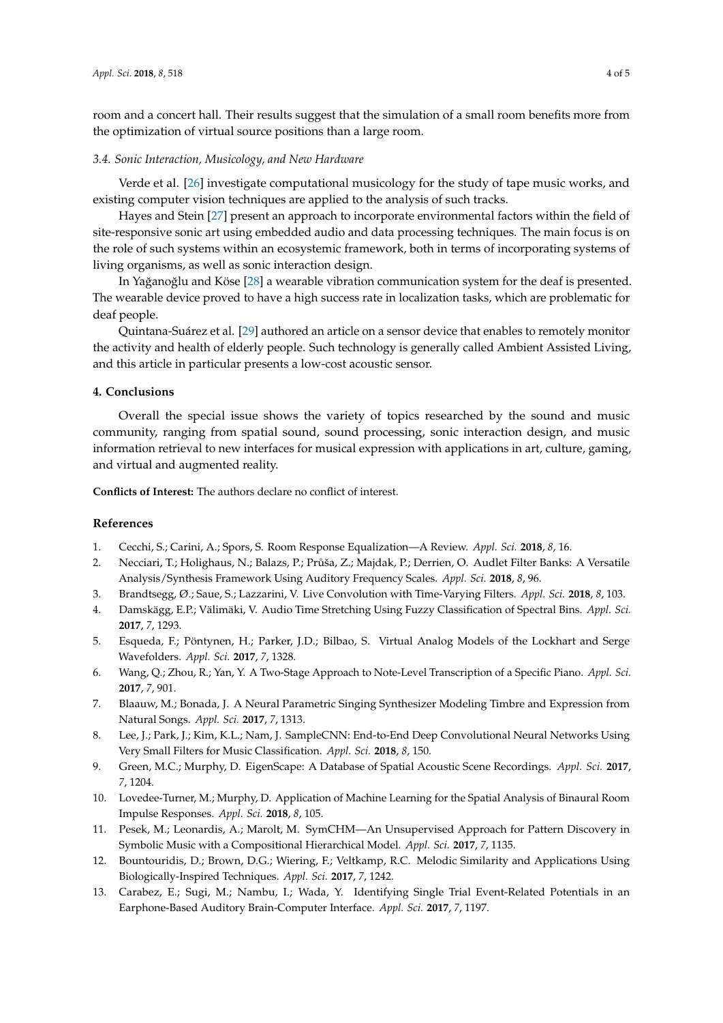room and a concert hall. Their results suggest that the simulation of a small room benefits more from the optimization of virtual source positions than a large room.

#### *3.4. Sonic Interaction, Musicology, and New Hardware*

Verde et al. [\[26\]](#page-4-12) investigate computational musicology for the study of tape music works, and existing computer vision techniques are applied to the analysis of such tracks.

Hayes and Stein [\[27\]](#page-4-13) present an approach to incorporate environmental factors within the field of site-responsive sonic art using embedded audio and data processing techniques. The main focus is on the role of such systems within an ecosystemic framework, both in terms of incorporating systems of living organisms, as well as sonic interaction design.

In Yağanoğlu and Köse [\[28\]](#page-4-14) a wearable vibration communication system for the deaf is presented. The wearable device proved to have a high success rate in localization tasks, which are problematic for deaf people.

Quintana-Suárez et al. [\[29\]](#page-4-15) authored an article on a sensor device that enables to remotely monitor the activity and health of elderly people. Such technology is generally called Ambient Assisted Living, and this article in particular presents a low-cost acoustic sensor.

# **4. Conclusions**

Overall the special issue shows the variety of topics researched by the sound and music community, ranging from spatial sound, sound processing, sonic interaction design, and music information retrieval to new interfaces for musical expression with applications in art, culture, gaming, and virtual and augmented reality.

**Conflicts of Interest:** The authors declare no conflict of interest.

### **References**

- <span id="page-3-0"></span>1. Cecchi, S.; Carini, A.; Spors, S. Room Response Equalization—A Review. *Appl. Sci.* **2018**, *8*, 16.
- <span id="page-3-1"></span>2. Necciari, T.; Holighaus, N.; Balazs, P.; Průša, Z.; Majdak, P.; Derrien, O. Audlet Filter Banks: A Versatile Analysis/Synthesis Framework Using Auditory Frequency Scales. *Appl. Sci.* **2018**, *8*, 96.
- <span id="page-3-2"></span>3. Brandtsegg, Ø.; Saue, S.; Lazzarini, V. Live Convolution with Time-Varying Filters. *Appl. Sci.* **2018**, *8*, 103.
- <span id="page-3-3"></span>4. Damskägg, E.P.; Välimäki, V. Audio Time Stretching Using Fuzzy Classification of Spectral Bins. *Appl. Sci.* **2017**, *7*, 1293.
- <span id="page-3-4"></span>5. Esqueda, F.; Pöntynen, H.; Parker, J.D.; Bilbao, S. Virtual Analog Models of the Lockhart and Serge Wavefolders. *Appl. Sci.* **2017**, *7*, 1328.
- <span id="page-3-5"></span>6. Wang, Q.; Zhou, R.; Yan, Y. A Two-Stage Approach to Note-Level Transcription of a Specific Piano. *Appl. Sci.* **2017**, *7*, 901.
- <span id="page-3-6"></span>7. Blaauw, M.; Bonada, J. A Neural Parametric Singing Synthesizer Modeling Timbre and Expression from Natural Songs. *Appl. Sci.* **2017**, *7*, 1313.
- <span id="page-3-7"></span>8. Lee, J.; Park, J.; Kim, K.L.; Nam, J. SampleCNN: End-to-End Deep Convolutional Neural Networks Using Very Small Filters for Music Classification. *Appl. Sci.* **2018**, *8*, 150.
- <span id="page-3-8"></span>9. Green, M.C.; Murphy, D. EigenScape: A Database of Spatial Acoustic Scene Recordings. *Appl. Sci.* **2017**, *7*, 1204.
- <span id="page-3-9"></span>10. Lovedee-Turner, M.; Murphy, D. Application of Machine Learning for the Spatial Analysis of Binaural Room Impulse Responses. *Appl. Sci.* **2018**, *8*, 105.
- <span id="page-3-10"></span>11. Pesek, M.; Leonardis, A.; Marolt, M. SymCHM—An Unsupervised Approach for Pattern Discovery in Symbolic Music with a Compositional Hierarchical Model. *Appl. Sci.* **2017**, *7*, 1135.
- <span id="page-3-11"></span>12. Bountouridis, D.; Brown, D.G.; Wiering, F.; Veltkamp, R.C. Melodic Similarity and Applications Using Biologically-Inspired Techniques. *Appl. Sci.* **2017**, *7*, 1242.
- <span id="page-3-12"></span>13. Carabez, E.; Sugi, M.; Nambu, I.; Wada, Y. Identifying Single Trial Event-Related Potentials in an Earphone-Based Auditory Brain-Computer Interface. *Appl. Sci.* **2017**, *7*, 1197.